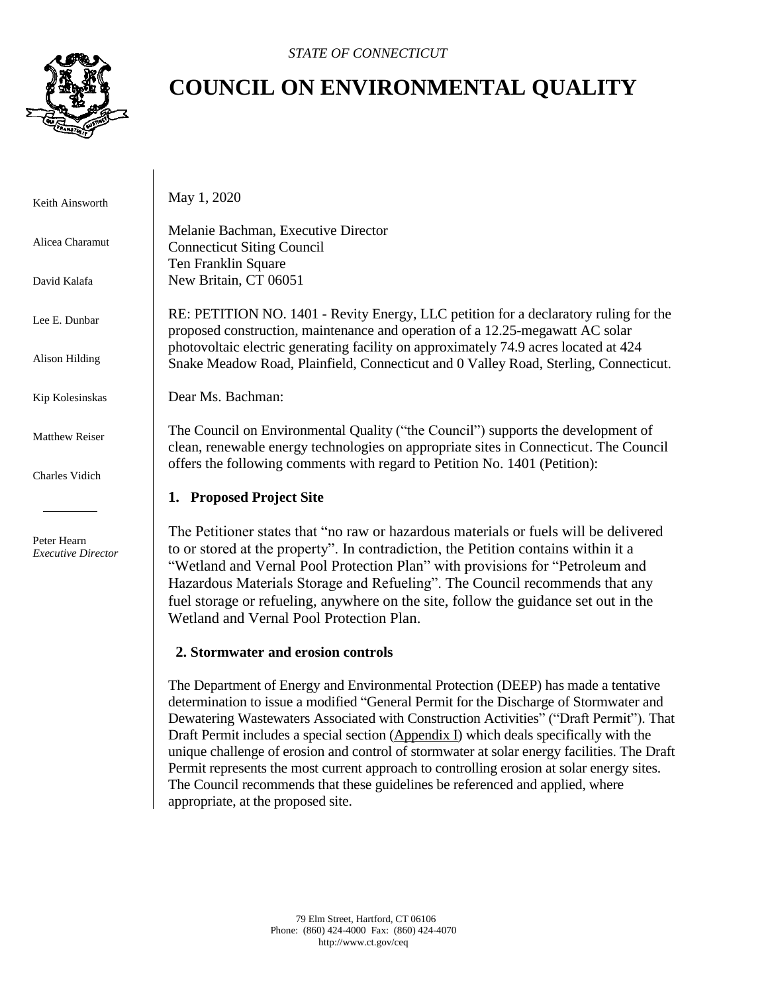

# **COUNCIL ON ENVIRONMENTAL QUALITY**

 Keith Ainsworth Alicea Charamut David Kalafa Lee E. Dunbar Alison Hilding Kip Kolesinskas Matthew Reiser Charles Vidich Peter Hearn *Executive Director* May 1, 2020 Melanie Bachman, Executive Director Connecticut Siting Council Ten Franklin Square New Britain, CT 06051 RE: PETITION NO. 1401 - Revity Energy, LLC petition for a declaratory ruling for the proposed construction, maintenance and operation of a 12.25-megawatt AC solar photovoltaic electric generating facility on approximately 74.9 acres located at 424 Snake Meadow Road, Plainfield, Connecticut and 0 Valley Road, Sterling, Connecticut. Dear Ms. Bachman: The Council on Environmental Quality ("the Council") supports the development of clean, renewable energy technologies on appropriate sites in Connecticut. The Council offers the following comments with regard to Petition No. 1401 (Petition): **1. Proposed Project Site** The Petitioner states that "no raw or hazardous materials or fuels will be delivered to or stored at the property". In contradiction, the Petition contains within it a "Wetland and Vernal Pool Protection Plan" with provisions for "Petroleum and Hazardous Materials Storage and Refueling". The Council recommends that any fuel storage or refueling, anywhere on the site, follow the guidance set out in the

#### **2. Stormwater and erosion controls**

Wetland and Vernal Pool Protection Plan.

The Department of Energy and Environmental Protection (DEEP) has made a tentative determination to issue a modified "General Permit for the Discharge of Stormwater and Dewatering Wastewaters Associated with Construction Activities" ("Draft Permit"). That Draft Permit includes a special section [\(Appendix I\)](https://portal.ct.gov/-/media/DEEP/2019December31GeneralPermitConstructionDraftPermitCleanversion.pdf?la=en) which deals specifically with the unique challenge of erosion and control of stormwater at solar energy facilities. The Draft Permit represents the most current approach to controlling erosion at solar energy sites. The Council recommends that these guidelines be referenced and applied, where appropriate, at the proposed site.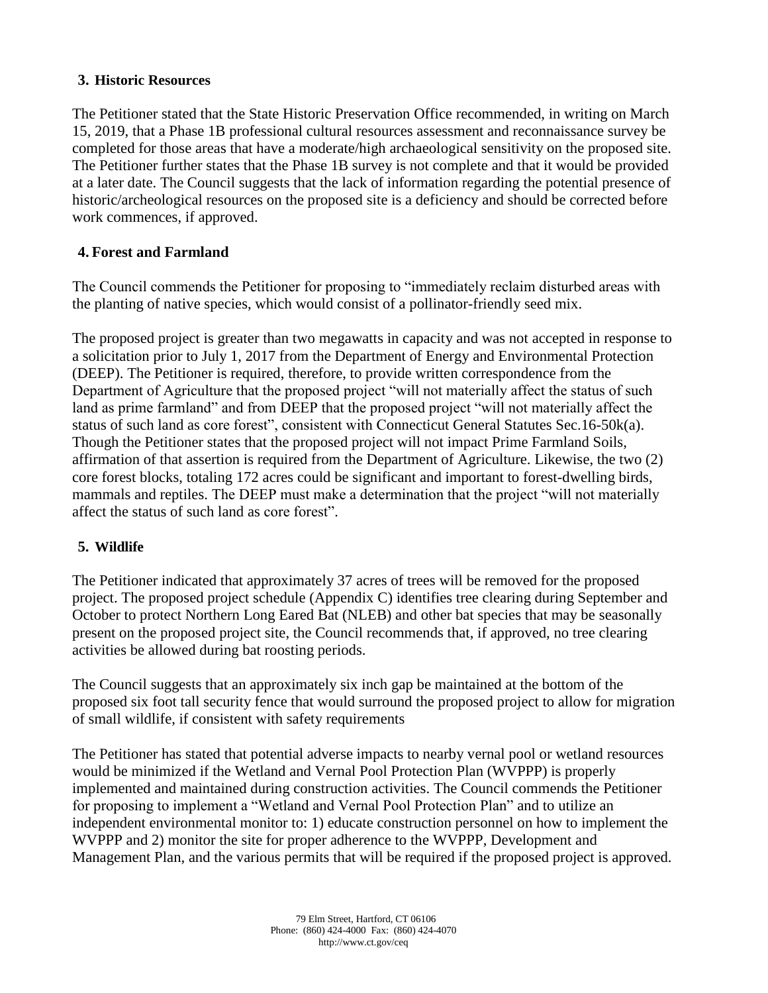### **3. Historic Resources**

The Petitioner stated that the State Historic Preservation Office recommended, in writing on March 15, 2019, that a Phase 1B professional cultural resources assessment and reconnaissance survey be completed for those areas that have a moderate/high archaeological sensitivity on the proposed site. The Petitioner further states that the Phase 1B survey is not complete and that it would be provided at a later date. The Council suggests that the lack of information regarding the potential presence of historic/archeological resources on the proposed site is a deficiency and should be corrected before work commences, if approved.

# **4. Forest and Farmland**

The Council commends the Petitioner for proposing to "immediately reclaim disturbed areas with the planting of native species, which would consist of a pollinator-friendly seed mix.

The proposed project is greater than two megawatts in capacity and was not accepted in response to a solicitation prior to July 1, 2017 from the Department of Energy and Environmental Protection (DEEP). The Petitioner is required, therefore, to provide written correspondence from the Department of Agriculture that the proposed project "will not materially affect the status of such land as prime farmland" and from DEEP that the proposed project "will not materially affect the status of such land as core forest", consistent with Connecticut General Statutes Sec.16-50k(a). Though the Petitioner states that the proposed project will not impact Prime Farmland Soils, affirmation of that assertion is required from the Department of Agriculture. Likewise, the two (2) core forest blocks, totaling 172 acres could be significant and important to forest-dwelling birds, mammals and reptiles. The DEEP must make a determination that the project "will not materially affect the status of such land as core forest".

# **5. Wildlife**

The Petitioner indicated that approximately 37 acres of trees will be removed for the proposed project. The proposed project schedule (Appendix C) identifies tree clearing during September and October to protect Northern Long Eared Bat (NLEB) and other bat species that may be seasonally present on the proposed project site, the Council recommends that, if approved, no tree clearing activities be allowed during bat roosting periods.

The Council suggests that an approximately six inch gap be maintained at the bottom of the proposed six foot tall security fence that would surround the proposed project to allow for migration of small wildlife, if consistent with safety requirements

The Petitioner has stated that potential adverse impacts to nearby vernal pool or wetland resources would be minimized if the Wetland and Vernal Pool Protection Plan (WVPPP) is properly implemented and maintained during construction activities. The Council commends the Petitioner for proposing to implement a "Wetland and Vernal Pool Protection Plan" and to utilize an independent environmental monitor to: 1) educate construction personnel on how to implement the WVPPP and 2) monitor the site for proper adherence to the WVPPP, Development and Management Plan, and the various permits that will be required if the proposed project is approved.